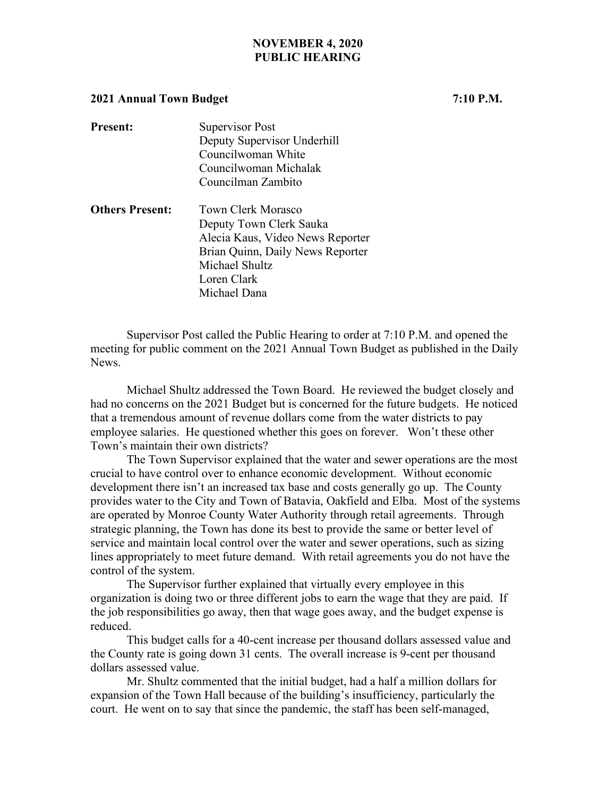## **NOVEMBER 4, 2020 PUBLIC HEARING**

## **2021 Annual Town Budget 7:10 P.M.**

| <b>Present:</b>        | Supervisor Post<br>Deputy Supervisor Underhill<br>Councilwoman White                                                                                          |
|------------------------|---------------------------------------------------------------------------------------------------------------------------------------------------------------|
|                        | Councilwoman Michalak<br>Councilman Zambito                                                                                                                   |
| <b>Others Present:</b> | <b>Town Clerk Morasco</b><br>Deputy Town Clerk Sauka<br>Alecia Kaus, Video News Reporter<br>Brian Quinn, Daily News Reporter<br>Michael Shultz<br>Loren Clark |

Michael Dana

 Supervisor Post called the Public Hearing to order at 7:10 P.M. and opened the meeting for public comment on the 2021 Annual Town Budget as published in the Daily News.

Michael Shultz addressed the Town Board. He reviewed the budget closely and had no concerns on the 2021 Budget but is concerned for the future budgets. He noticed that a tremendous amount of revenue dollars come from the water districts to pay employee salaries. He questioned whether this goes on forever. Won't these other Town's maintain their own districts?

 The Town Supervisor explained that the water and sewer operations are the most crucial to have control over to enhance economic development. Without economic development there isn't an increased tax base and costs generally go up. The County provides water to the City and Town of Batavia, Oakfield and Elba. Most of the systems are operated by Monroe County Water Authority through retail agreements. Through strategic planning, the Town has done its best to provide the same or better level of service and maintain local control over the water and sewer operations, such as sizing lines appropriately to meet future demand. With retail agreements you do not have the control of the system.

The Supervisor further explained that virtually every employee in this organization is doing two or three different jobs to earn the wage that they are paid. If the job responsibilities go away, then that wage goes away, and the budget expense is reduced.

This budget calls for a 40-cent increase per thousand dollars assessed value and the County rate is going down 31 cents. The overall increase is 9-cent per thousand dollars assessed value.

Mr. Shultz commented that the initial budget, had a half a million dollars for expansion of the Town Hall because of the building's insufficiency, particularly the court. He went on to say that since the pandemic, the staff has been self-managed,